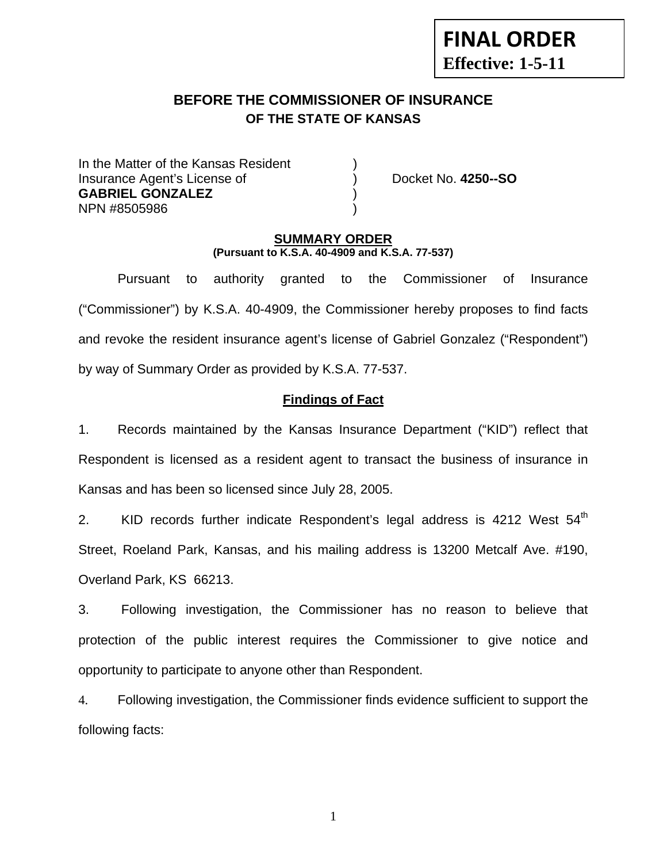# **FINAL ORDER Effective: 1-5-11**

# **BEFORE THE COMMISSIONER OF INSURANCE OF THE STATE OF KANSAS**

In the Matter of the Kansas Resident Insurance Agent's License of ) Docket No. **4250--SO GABRIEL GONZALEZ** ) NPN #8505986 )

#### **SUMMARY ORDER (Pursuant to K.S.A. 40-4909 and K.S.A. 77-537)**

 Pursuant to authority granted to the Commissioner of Insurance ("Commissioner") by K.S.A. 40-4909, the Commissioner hereby proposes to find facts and revoke the resident insurance agent's license of Gabriel Gonzalez ("Respondent") by way of Summary Order as provided by K.S.A. 77-537.

## **Findings of Fact**

1. Records maintained by the Kansas Insurance Department ("KID") reflect that Respondent is licensed as a resident agent to transact the business of insurance in Kansas and has been so licensed since July 28, 2005.

2. KID records further indicate Respondent's legal address is 4212 West 54<sup>th</sup> Street, Roeland Park, Kansas, and his mailing address is 13200 Metcalf Ave. #190, Overland Park, KS 66213.

3. Following investigation, the Commissioner has no reason to believe that protection of the public interest requires the Commissioner to give notice and opportunity to participate to anyone other than Respondent.

4. Following investigation, the Commissioner finds evidence sufficient to support the following facts:

1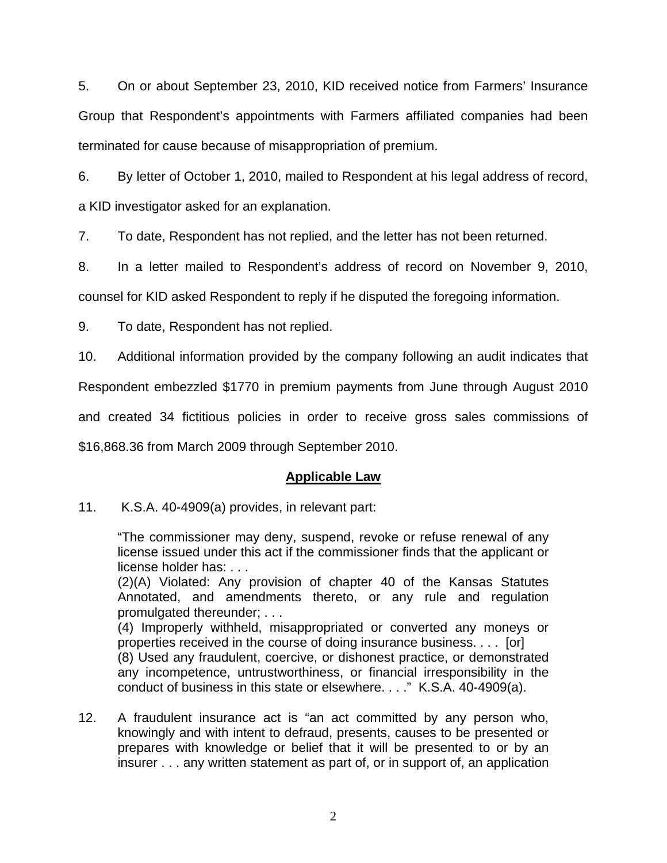5. On or about September 23, 2010, KID received notice from Farmers' Insurance Group that Respondent's appointments with Farmers affiliated companies had been terminated for cause because of misappropriation of premium.

6. By letter of October 1, 2010, mailed to Respondent at his legal address of record, a KID investigator asked for an explanation.

7. To date, Respondent has not replied, and the letter has not been returned.

8. In a letter mailed to Respondent's address of record on November 9, 2010, counsel for KID asked Respondent to reply if he disputed the foregoing information.

9. To date, Respondent has not replied.

10. Additional information provided by the company following an audit indicates that

Respondent embezzled \$1770 in premium payments from June through August 2010

and created 34 fictitious policies in order to receive gross sales commissions of

\$16,868.36 from March 2009 through September 2010.

#### **Applicable Law**

11. K.S.A. 40-4909(a) provides, in relevant part:

"The commissioner may deny, suspend, revoke or refuse renewal of any license issued under this act if the commissioner finds that the applicant or license holder has: . . .

(2)(A) Violated: Any provision of chapter 40 of the Kansas Statutes Annotated, and amendments thereto, or any rule and regulation promulgated thereunder; . . .

(4) Improperly withheld, misappropriated or converted any moneys or properties received in the course of doing insurance business. . . . [or]

(8) Used any fraudulent, coercive, or dishonest practice, or demonstrated any incompetence, untrustworthiness, or financial irresponsibility in the conduct of business in this state or elsewhere. . . ." K.S.A. 40-4909(a).

12. A fraudulent insurance act is "an act committed by any person who, knowingly and with intent to defraud, presents, causes to be presented or prepares with knowledge or belief that it will be presented to or by an insurer . . . any written statement as part of, or in support of, an application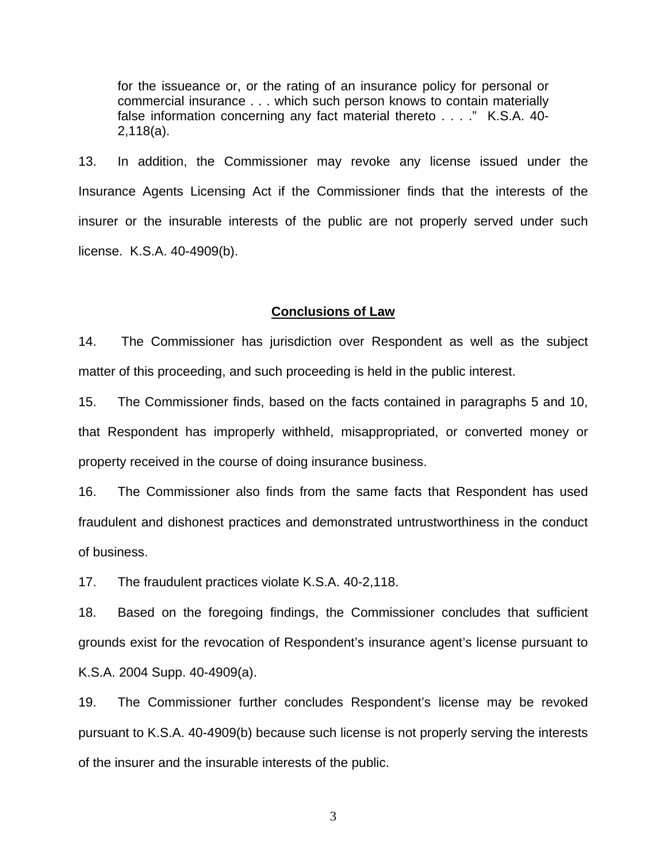for the issueance or, or the rating of an insurance policy for personal or commercial insurance . . . which such person knows to contain materially false information concerning any fact material thereto . . . ." K.S.A. 40- 2,118(a).

13. In addition, the Commissioner may revoke any license issued under the Insurance Agents Licensing Act if the Commissioner finds that the interests of the insurer or the insurable interests of the public are not properly served under such license. K.S.A. 40-4909(b).

#### **Conclusions of Law**

14. The Commissioner has jurisdiction over Respondent as well as the subject matter of this proceeding, and such proceeding is held in the public interest.

15. The Commissioner finds, based on the facts contained in paragraphs 5 and 10, that Respondent has improperly withheld, misappropriated, or converted money or property received in the course of doing insurance business.

16. The Commissioner also finds from the same facts that Respondent has used fraudulent and dishonest practices and demonstrated untrustworthiness in the conduct of business.

17. The fraudulent practices violate K.S.A. 40-2,118.

18. Based on the foregoing findings, the Commissioner concludes that sufficient grounds exist for the revocation of Respondent's insurance agent's license pursuant to K.S.A. 2004 Supp. 40-4909(a).

19. The Commissioner further concludes Respondent's license may be revoked pursuant to K.S.A. 40-4909(b) because such license is not properly serving the interests of the insurer and the insurable interests of the public.

3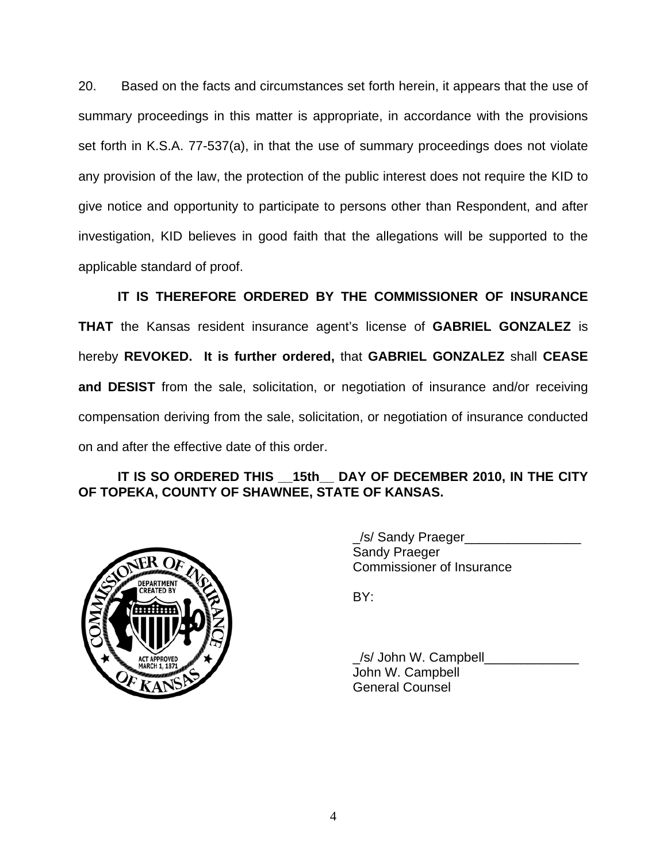20. Based on the facts and circumstances set forth herein, it appears that the use of summary proceedings in this matter is appropriate, in accordance with the provisions set forth in K.S.A. 77-537(a), in that the use of summary proceedings does not violate any provision of the law, the protection of the public interest does not require the KID to give notice and opportunity to participate to persons other than Respondent, and after investigation, KID believes in good faith that the allegations will be supported to the applicable standard of proof.

 **IT IS THEREFORE ORDERED BY THE COMMISSIONER OF INSURANCE THAT** the Kansas resident insurance agent's license of **GABRIEL GONZALEZ** is hereby **REVOKED. It is further ordered,** that **GABRIEL GONZALEZ** shall **CEASE and DESIST** from the sale, solicitation, or negotiation of insurance and/or receiving compensation deriving from the sale, solicitation, or negotiation of insurance conducted on and after the effective date of this order.

## **IT IS SO ORDERED THIS \_\_15th\_\_ DAY OF DECEMBER 2010, IN THE CITY OF TOPEKA, COUNTY OF SHAWNEE, STATE OF KANSAS.**



 \_/s/ Sandy Praeger\_\_\_\_\_\_\_\_\_\_\_\_\_\_\_\_ Sandy Praeger Commissioner of Insurance

/s/ John W. Campbell John W. Campbell General Counsel